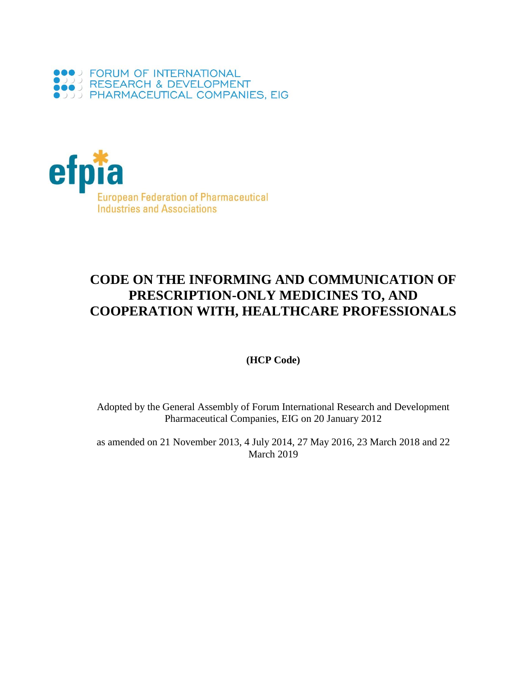



# **CODE ON THE INFORMING AND COMMUNICATION OF PRESCRIPTION-ONLY MEDICINES TO, AND COOPERATION WITH, HEALTHCARE PROFESSIONALS**

### **(HCP Code)**

Adopted by the General Assembly of Forum International Research and Development Pharmaceutical Companies, EIG on 20 January 2012

as amended on 21 November 2013, 4 July 2014, 27 May 2016, 23 March 2018 and 22 March 2019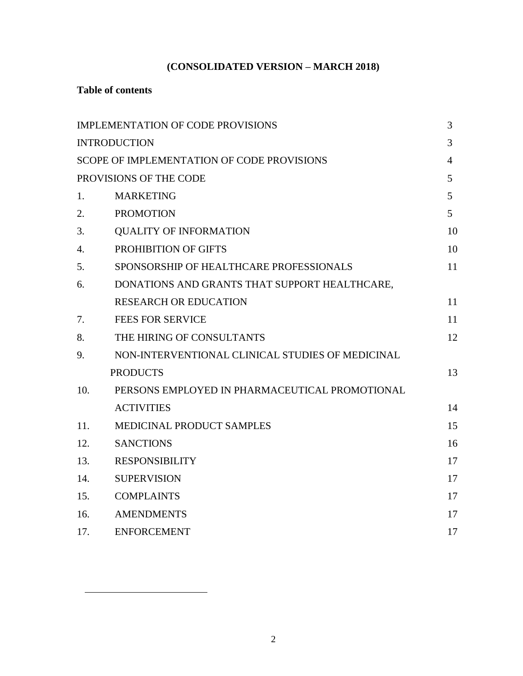# **(CONSOLIDATED VERSION – MARCH 2018)**

# **Table of contents**

 $\overline{a}$ 

|                        | IMPLEMENTATION OF CODE PROVISIONS                | 3  |
|------------------------|--------------------------------------------------|----|
|                        | <b>INTRODUCTION</b>                              | 3  |
|                        | SCOPE OF IMPLEMENTATION OF CODE PROVISIONS       | 4  |
| PROVISIONS OF THE CODE |                                                  | 5  |
| 1.                     | <b>MARKETING</b>                                 | 5  |
| 2.                     | <b>PROMOTION</b>                                 | 5  |
| 3.                     | <b>QUALITY OF INFORMATION</b>                    | 10 |
| 4.                     | PROHIBITION OF GIFTS                             | 10 |
| 5.                     | SPONSORSHIP OF HEALTHCARE PROFESSIONALS          | 11 |
| 6.                     | DONATIONS AND GRANTS THAT SUPPORT HEALTHCARE,    |    |
|                        | <b>RESEARCH OR EDUCATION</b>                     | 11 |
| 7.                     | <b>FEES FOR SERVICE</b>                          | 11 |
| 8.                     | THE HIRING OF CONSULTANTS                        | 12 |
| 9.                     | NON-INTERVENTIONAL CLINICAL STUDIES OF MEDICINAL |    |
|                        | <b>PRODUCTS</b>                                  | 13 |
| 10.                    | PERSONS EMPLOYED IN PHARMACEUTICAL PROMOTIONAL   |    |
|                        | <b>ACTIVITIES</b>                                | 14 |
| 11.                    | MEDICINAL PRODUCT SAMPLES                        | 15 |
| 12.                    | <b>SANCTIONS</b>                                 | 16 |
| 13.                    | <b>RESPONSIBILITY</b>                            | 17 |
| 14.                    | <b>SUPERVISION</b>                               | 17 |
| 15.                    | <b>COMPLAINTS</b>                                | 17 |
| 16.                    | <b>AMENDMENTS</b>                                | 17 |
| 17.                    | <b>ENFORCEMENT</b>                               | 17 |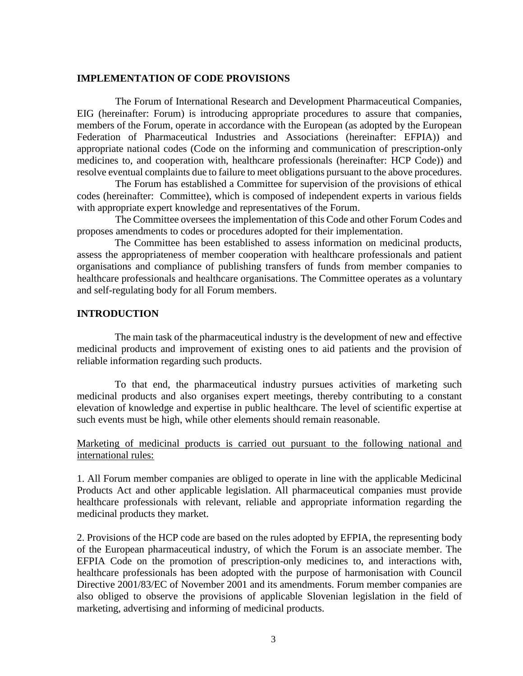#### **IMPLEMENTATION OF CODE PROVISIONS**

The Forum of International Research and Development Pharmaceutical Companies, EIG (hereinafter: Forum) is introducing appropriate procedures to assure that companies, members of the Forum, operate in accordance with the European (as adopted by the European Federation of Pharmaceutical Industries and Associations (hereinafter: EFPIA)) and appropriate national codes (Code on the informing and communication of prescription-only medicines to, and cooperation with, healthcare professionals (hereinafter: HCP Code)) and resolve eventual complaints due to failure to meet obligations pursuant to the above procedures.

The Forum has established a Committee for supervision of the provisions of ethical codes (hereinafter: Committee), which is composed of independent experts in various fields with appropriate expert knowledge and representatives of the Forum.

The Committee oversees the implementation of this Code and other Forum Codes and proposes amendments to codes or procedures adopted for their implementation.

The Committee has been established to assess information on medicinal products, assess the appropriateness of member cooperation with healthcare professionals and patient organisations and compliance of publishing transfers of funds from member companies to healthcare professionals and healthcare organisations. The Committee operates as a voluntary and self-regulating body for all Forum members.

#### **INTRODUCTION**

The main task of the pharmaceutical industry is the development of new and effective medicinal products and improvement of existing ones to aid patients and the provision of reliable information regarding such products.

To that end, the pharmaceutical industry pursues activities of marketing such medicinal products and also organises expert meetings, thereby contributing to a constant elevation of knowledge and expertise in public healthcare. The level of scientific expertise at such events must be high, while other elements should remain reasonable.

Marketing of medicinal products is carried out pursuant to the following national and international rules:

1. All Forum member companies are obliged to operate in line with the applicable Medicinal Products Act and other applicable legislation. All pharmaceutical companies must provide healthcare professionals with relevant, reliable and appropriate information regarding the medicinal products they market.

2. Provisions of the HCP code are based on the rules adopted by EFPIA, the representing body of the European pharmaceutical industry, of which the Forum is an associate member. The EFPIA Code on the promotion of prescription-only medicines to, and interactions with, healthcare professionals has been adopted with the purpose of harmonisation with Council Directive 2001/83/EC of November 2001 and its amendments. Forum member companies are also obliged to observe the provisions of applicable Slovenian legislation in the field of marketing, advertising and informing of medicinal products.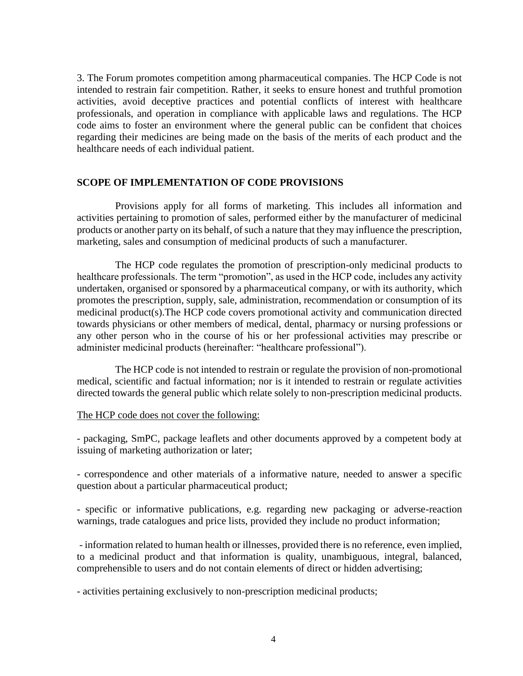3. The Forum promotes competition among pharmaceutical companies. The HCP Code is not intended to restrain fair competition. Rather, it seeks to ensure honest and truthful promotion activities, avoid deceptive practices and potential conflicts of interest with healthcare professionals, and operation in compliance with applicable laws and regulations. The HCP code aims to foster an environment where the general public can be confident that choices regarding their medicines are being made on the basis of the merits of each product and the healthcare needs of each individual patient.

#### **SCOPE OF IMPLEMENTATION OF CODE PROVISIONS**

Provisions apply for all forms of marketing. This includes all information and activities pertaining to promotion of sales, performed either by the manufacturer of medicinal products or another party on its behalf, of such a nature that they may influence the prescription, marketing, sales and consumption of medicinal products of such a manufacturer.

The HCP code regulates the promotion of prescription-only medicinal products to healthcare professionals. The term "promotion", as used in the HCP code, includes any activity undertaken, organised or sponsored by a pharmaceutical company, or with its authority, which promotes the prescription, supply, sale, administration, recommendation or consumption of its medicinal product(s).The HCP code covers promotional activity and communication directed towards physicians or other members of medical, dental, pharmacy or nursing professions or any other person who in the course of his or her professional activities may prescribe or administer medicinal products (hereinafter: "healthcare professional").

The HCP code is not intended to restrain or regulate the provision of non-promotional medical, scientific and factual information; nor is it intended to restrain or regulate activities directed towards the general public which relate solely to non-prescription medicinal products.

#### The HCP code does not cover the following:

- packaging, SmPC, package leaflets and other documents approved by a competent body at issuing of marketing authorization or later;

- correspondence and other materials of a informative nature, needed to answer a specific question about a particular pharmaceutical product;

- specific or informative publications, e.g. regarding new packaging or adverse-reaction warnings, trade catalogues and price lists, provided they include no product information;

- information related to human health or illnesses, provided there is no reference, even implied, to a medicinal product and that information is quality, unambiguous, integral, balanced, comprehensible to users and do not contain elements of direct or hidden advertising;

- activities pertaining exclusively to non-prescription medicinal products;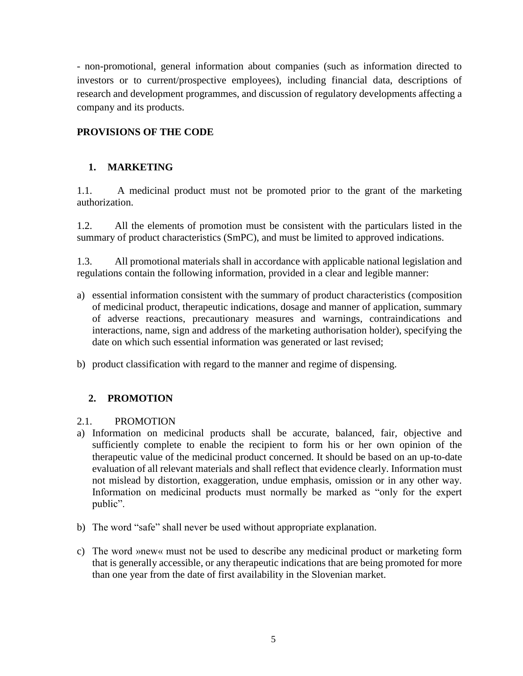- non-promotional, general information about companies (such as information directed to investors or to current/prospective employees), including financial data, descriptions of research and development programmes, and discussion of regulatory developments affecting a company and its products.

# **PROVISIONS OF THE CODE**

### **1. MARKETING**

1.1. A medicinal product must not be promoted prior to the grant of the marketing authorization.

1.2. All the elements of promotion must be consistent with the particulars listed in the summary of product characteristics (SmPC), and must be limited to approved indications.

1.3. All promotional materials shall in accordance with applicable national legislation and regulations contain the following information, provided in a clear and legible manner:

- a) essential information consistent with the summary of product characteristics (composition of medicinal product, therapeutic indications, dosage and manner of application, summary of adverse reactions, precautionary measures and warnings, contraindications and interactions, name, sign and address of the marketing authorisation holder), specifying the date on which such essential information was generated or last revised;
- b) product classification with regard to the manner and regime of dispensing.

# **2. PROMOTION**

### 2.1. PROMOTION

- a) Information on medicinal products shall be accurate, balanced, fair, objective and sufficiently complete to enable the recipient to form his or her own opinion of the therapeutic value of the medicinal product concerned. It should be based on an up-to-date evaluation of all relevant materials and shall reflect that evidence clearly. Information must not mislead by distortion, exaggeration, undue emphasis, omission or in any other way. Information on medicinal products must normally be marked as "only for the expert public".
- b) The word "safe" shall never be used without appropriate explanation.
- c) The word »new« must not be used to describe any medicinal product or marketing form that is generally accessible, or any therapeutic indications that are being promoted for more than one year from the date of first availability in the Slovenian market.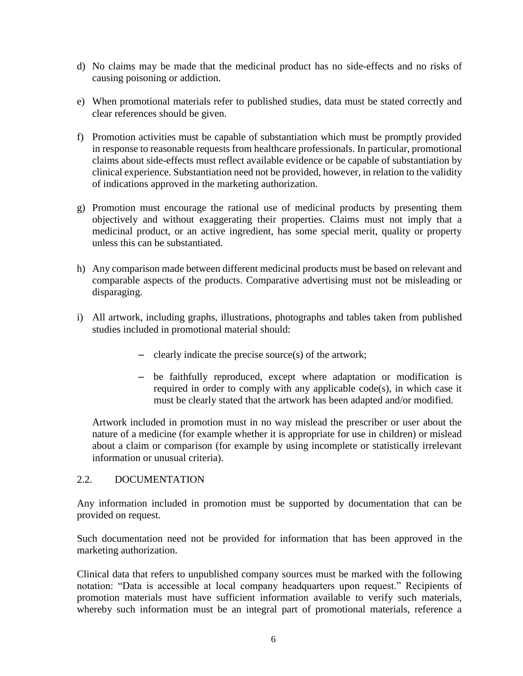- d) No claims may be made that the medicinal product has no side-effects and no risks of causing poisoning or addiction.
- e) When promotional materials refer to published studies, data must be stated correctly and clear references should be given.
- f) Promotion activities must be capable of substantiation which must be promptly provided in response to reasonable requests from healthcare professionals. In particular, promotional claims about side-effects must reflect available evidence or be capable of substantiation by clinical experience. Substantiation need not be provided, however, in relation to the validity of indications approved in the marketing authorization.
- g) Promotion must encourage the rational use of medicinal products by presenting them objectively and without exaggerating their properties. Claims must not imply that a medicinal product, or an active ingredient, has some special merit, quality or property unless this can be substantiated.
- h) Any comparison made between different medicinal products must be based on relevant and comparable aspects of the products. Comparative advertising must not be misleading or disparaging.
- i) All artwork, including graphs, illustrations, photographs and tables taken from published studies included in promotional material should:
	- clearly indicate the precise source(s) of the artwork;
	- be faithfully reproduced, except where adaptation or modification is required in order to comply with any applicable code(s), in which case it must be clearly stated that the artwork has been adapted and/or modified.

Artwork included in promotion must in no way mislead the prescriber or user about the nature of a medicine (for example whether it is appropriate for use in children) or mislead about a claim or comparison (for example by using incomplete or statistically irrelevant information or unusual criteria).

### 2.2. DOCUMENTATION

Any information included in promotion must be supported by documentation that can be provided on request.

Such documentation need not be provided for information that has been approved in the marketing authorization.

Clinical data that refers to unpublished company sources must be marked with the following notation: "Data is accessible at local company headquarters upon request." Recipients of promotion materials must have sufficient information available to verify such materials, whereby such information must be an integral part of promotional materials, reference a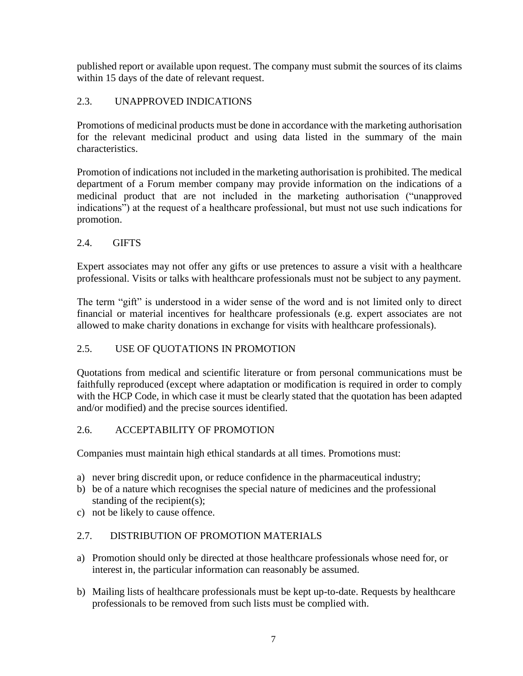published report or available upon request. The company must submit the sources of its claims within 15 days of the date of relevant request.

# 2.3. UNAPPROVED INDICATIONS

Promotions of medicinal products must be done in accordance with the marketing authorisation for the relevant medicinal product and using data listed in the summary of the main characteristics.

Promotion of indications not included in the marketing authorisation is prohibited. The medical department of a Forum member company may provide information on the indications of a medicinal product that are not included in the marketing authorisation ("unapproved indications") at the request of a healthcare professional, but must not use such indications for promotion.

### 2.4. GIFTS

Expert associates may not offer any gifts or use pretences to assure a visit with a healthcare professional. Visits or talks with healthcare professionals must not be subject to any payment.

The term "gift" is understood in a wider sense of the word and is not limited only to direct financial or material incentives for healthcare professionals (e.g. expert associates are not allowed to make charity donations in exchange for visits with healthcare professionals).

### 2.5. USE OF QUOTATIONS IN PROMOTION

Quotations from medical and scientific literature or from personal communications must be faithfully reproduced (except where adaptation or modification is required in order to comply with the HCP Code, in which case it must be clearly stated that the quotation has been adapted and/or modified) and the precise sources identified.

### 2.6. ACCEPTABILITY OF PROMOTION

Companies must maintain high ethical standards at all times. Promotions must:

- a) never bring discredit upon, or reduce confidence in the pharmaceutical industry;
- b) be of a nature which recognises the special nature of medicines and the professional standing of the recipient(s);
- c) not be likely to cause offence.

### 2.7. DISTRIBUTION OF PROMOTION MATERIALS

- a) Promotion should only be directed at those healthcare professionals whose need for, or interest in, the particular information can reasonably be assumed.
- b) Mailing lists of healthcare professionals must be kept up-to-date. Requests by healthcare professionals to be removed from such lists must be complied with.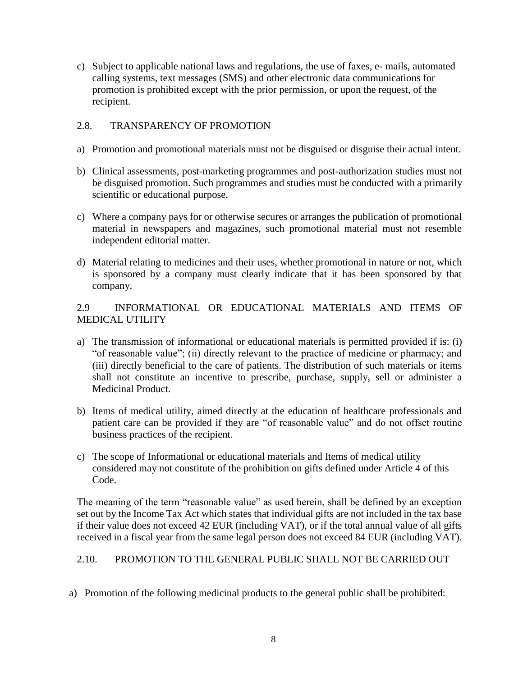c) Subject to applicable national laws and regulations, the use of faxes, e- mails, automated calling systems, text messages (SMS) and other electronic data communications for promotion is prohibited except with the prior permission, or upon the request, of the recipient.

### 2.8. TRANSPARENCY OF PROMOTION

- a) Promotion and promotional materials must not be disguised or disguise their actual intent.
- b) Clinical assessments, post-marketing programmes and post-authorization studies must not be disguised promotion. Such programmes and studies must be conducted with a primarily scientific or educational purpose.
- c) Where a company pays for or otherwise secures or arranges the publication of promotional material in newspapers and magazines, such promotional material must not resemble independent editorial matter.
- d) Material relating to medicines and their uses, whether promotional in nature or not, which is sponsored by a company must clearly indicate that it has been sponsored by that company.

2.9 INFORMATIONAL OR EDUCATIONAL MATERIALS AND ITEMS OF MEDICAL UTILITY

- a) The transmission of informational or educational materials is permitted provided if is: (i) "of reasonable value"; (ii) directly relevant to the practice of medicine or pharmacy; and (iii) directly beneficial to the care of patients. The distribution of such materials or items shall not constitute an incentive to prescribe, purchase, supply, sell or administer a Medicinal Product.
- b) Items of medical utility, aimed directly at the education of healthcare professionals and patient care can be provided if they are "of reasonable value" and do not offset routine business practices of the recipient.
- c) The scope of Informational or educational materials and Items of medical utility considered may not constitute of the prohibition on gifts defined under Article 4 of this Code.

The meaning of the term "reasonable value" as used herein, shall be defined by an exception set out by the Income Tax Act which states that individual gifts are not included in the tax base if their value does not exceed 42 EUR (including VAT), or if the total annual value of all gifts received in a fiscal year from the same legal person does not exceed 84 EUR (including VAT).

### 2.10. PROMOTION TO THE GENERAL PUBLIC SHALL NOT BE CARRIED OUT

a) Promotion of the following medicinal products to the general public shall be prohibited: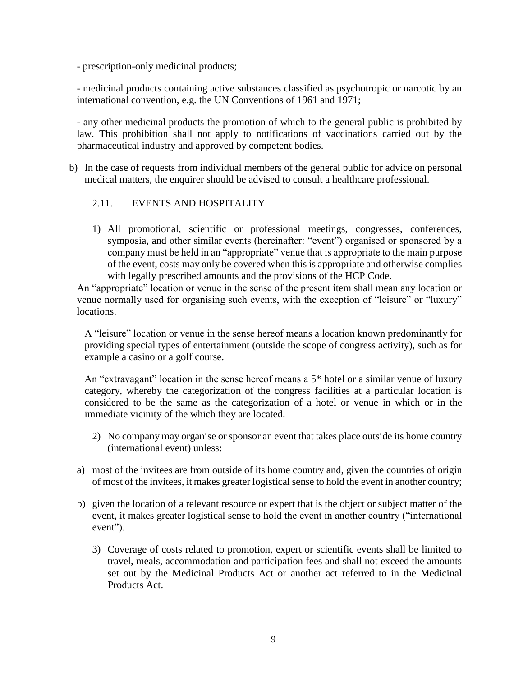- prescription-only medicinal products;

- medicinal products containing active substances classified as psychotropic or narcotic by an international convention, e.g. the UN Conventions of 1961 and 1971;

- any other medicinal products the promotion of which to the general public is prohibited by law. This prohibition shall not apply to notifications of vaccinations carried out by the pharmaceutical industry and approved by competent bodies.

b) In the case of requests from individual members of the general public for advice on personal medical matters, the enquirer should be advised to consult a healthcare professional.

### 2.11. EVENTS AND HOSPITALITY

1) All promotional, scientific or professional meetings, congresses, conferences, symposia, and other similar events (hereinafter: "event") organised or sponsored by a company must be held in an "appropriate" venue that is appropriate to the main purpose of the event, costs may only be covered when this is appropriate and otherwise complies with legally prescribed amounts and the provisions of the HCP Code.

An "appropriate" location or venue in the sense of the present item shall mean any location or venue normally used for organising such events, with the exception of "leisure" or "luxury" locations.

A "leisure" location or venue in the sense hereof means a location known predominantly for providing special types of entertainment (outside the scope of congress activity), such as for example a casino or a golf course.

An "extravagant" location in the sense hereof means a 5<sup>\*</sup> hotel or a similar venue of luxury category, whereby the categorization of the congress facilities at a particular location is considered to be the same as the categorization of a hotel or venue in which or in the immediate vicinity of the which they are located.

- 2) No company may organise or sponsor an event that takes place outside its home country (international event) unless:
- a) most of the invitees are from outside of its home country and, given the countries of origin of most of the invitees, it makes greater logistical sense to hold the event in another country;
- b) given the location of a relevant resource or expert that is the object or subject matter of the event, it makes greater logistical sense to hold the event in another country ("international event").
	- 3) Coverage of costs related to promotion, expert or scientific events shall be limited to travel, meals, accommodation and participation fees and shall not exceed the amounts set out by the Medicinal Products Act or another act referred to in the Medicinal Products Act.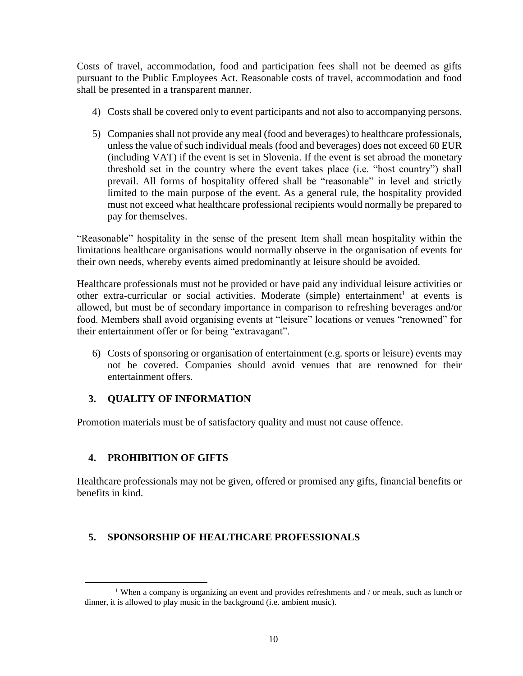Costs of travel, accommodation, food and participation fees shall not be deemed as gifts pursuant to the Public Employees Act. Reasonable costs of travel, accommodation and food shall be presented in a transparent manner.

- 4) Costs shall be covered only to event participants and not also to accompanying persons.
- 5) Companies shall not provide any meal (food and beverages) to healthcare professionals, unless the value of such individual meals (food and beverages) does not exceed 60 EUR (including VAT) if the event is set in Slovenia. If the event is set abroad the monetary threshold set in the country where the event takes place (i.e. "host country") shall prevail. All forms of hospitality offered shall be "reasonable" in level and strictly limited to the main purpose of the event. As a general rule, the hospitality provided must not exceed what healthcare professional recipients would normally be prepared to pay for themselves.

"Reasonable" hospitality in the sense of the present Item shall mean hospitality within the limitations healthcare organisations would normally observe in the organisation of events for their own needs, whereby events aimed predominantly at leisure should be avoided.

Healthcare professionals must not be provided or have paid any individual leisure activities or other extra-curricular or social activities. Moderate (simple) entertainment<sup>1</sup> at events is allowed, but must be of secondary importance in comparison to refreshing beverages and/or food. Members shall avoid organising events at "leisure" locations or venues "renowned" for their entertainment offer or for being "extravagant".

6) Costs of sponsoring or organisation of entertainment (e.g. sports or leisure) events may not be covered. Companies should avoid venues that are renowned for their entertainment offers.

# **3. QUALITY OF INFORMATION**

Promotion materials must be of satisfactory quality and must not cause offence.

# **4. PROHIBITION OF GIFTS**

 $\overline{a}$ 

Healthcare professionals may not be given, offered or promised any gifts, financial benefits or benefits in kind.

# **5. SPONSORSHIP OF HEALTHCARE PROFESSIONALS**

<sup>1</sup> When a company is organizing an event and provides refreshments and / or meals, such as lunch or dinner, it is allowed to play music in the background (i.e. ambient music).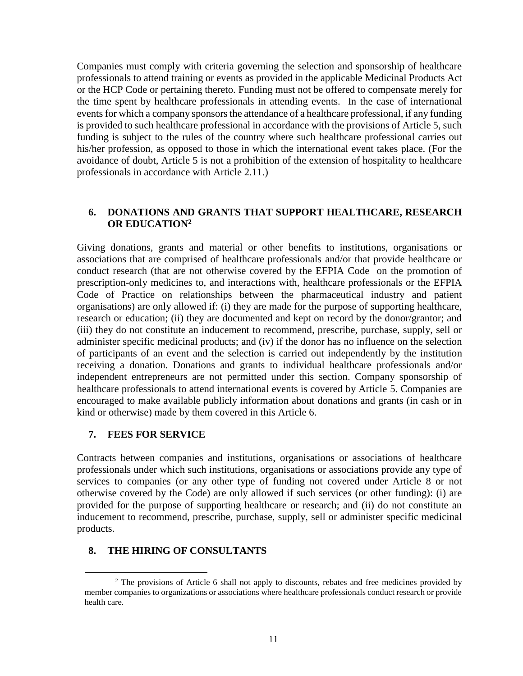Companies must comply with criteria governing the selection and sponsorship of healthcare professionals to attend training or events as provided in the applicable Medicinal Products Act or the HCP Code or pertaining thereto. Funding must not be offered to compensate merely for the time spent by healthcare professionals in attending events. In the case of international events for which a company sponsors the attendance of a healthcare professional, if any funding is provided to such healthcare professional in accordance with the provisions of Article 5, such funding is subject to the rules of the country where such healthcare professional carries out his/her profession, as opposed to those in which the international event takes place. (For the avoidance of doubt, Article 5 is not a prohibition of the extension of hospitality to healthcare professionals in accordance with Article 2.11.)

### **6. DONATIONS AND GRANTS THAT SUPPORT HEALTHCARE, RESEARCH OR EDUCATION<sup>2</sup>**

Giving donations, grants and material or other benefits to institutions, organisations or associations that are comprised of healthcare professionals and/or that provide healthcare or conduct research (that are not otherwise covered by the EFPIA Code on the promotion of prescription-only medicines to, and interactions with, healthcare professionals or the EFPIA Code of Practice on relationships between the pharmaceutical industry and patient organisations) are only allowed if: (i) they are made for the purpose of supporting healthcare, research or education; (ii) they are documented and kept on record by the donor/grantor; and (iii) they do not constitute an inducement to recommend, prescribe, purchase, supply, sell or administer specific medicinal products; and (iv) if the donor has no influence on the selection of participants of an event and the selection is carried out independently by the institution receiving a donation. Donations and grants to individual healthcare professionals and/or independent entrepreneurs are not permitted under this section. Company sponsorship of healthcare professionals to attend international events is covered by Article 5. Companies are encouraged to make available publicly information about donations and grants (in cash or in kind or otherwise) made by them covered in this Article 6.

#### **7. FEES FOR SERVICE**

 $\overline{a}$ 

Contracts between companies and institutions, organisations or associations of healthcare professionals under which such institutions, organisations or associations provide any type of services to companies (or any other type of funding not covered under Article 8 or not otherwise covered by the Code) are only allowed if such services (or other funding): (i) are provided for the purpose of supporting healthcare or research; and (ii) do not constitute an inducement to recommend, prescribe, purchase, supply, sell or administer specific medicinal products.

### **8. THE HIRING OF CONSULTANTS**

<sup>&</sup>lt;sup>2</sup> The provisions of Article 6 shall not apply to discounts, rebates and free medicines provided by member companies to organizations or associations where healthcare professionals conduct research or provide health care.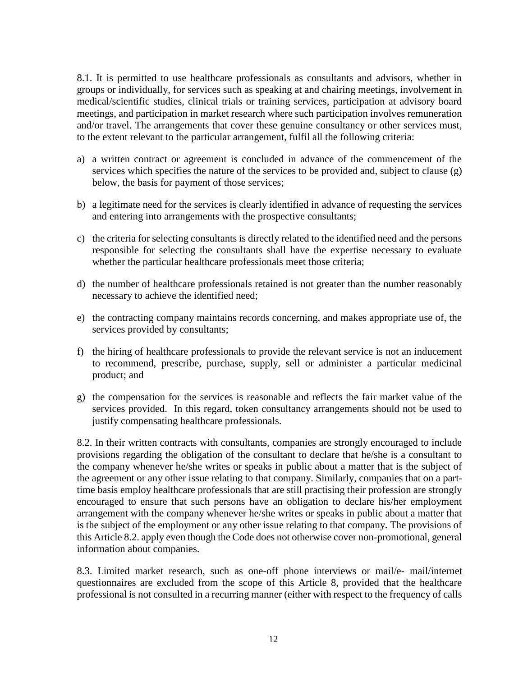8.1. It is permitted to use healthcare professionals as consultants and advisors, whether in groups or individually, for services such as speaking at and chairing meetings, involvement in medical/scientific studies, clinical trials or training services, participation at advisory board meetings, and participation in market research where such participation involves remuneration and/or travel. The arrangements that cover these genuine consultancy or other services must, to the extent relevant to the particular arrangement, fulfil all the following criteria:

- a) a written contract or agreement is concluded in advance of the commencement of the services which specifies the nature of the services to be provided and, subject to clause (g) below, the basis for payment of those services;
- b) a legitimate need for the services is clearly identified in advance of requesting the services and entering into arrangements with the prospective consultants;
- c) the criteria for selecting consultants is directly related to the identified need and the persons responsible for selecting the consultants shall have the expertise necessary to evaluate whether the particular healthcare professionals meet those criteria;
- d) the number of healthcare professionals retained is not greater than the number reasonably necessary to achieve the identified need;
- e) the contracting company maintains records concerning, and makes appropriate use of, the services provided by consultants;
- f) the hiring of healthcare professionals to provide the relevant service is not an inducement to recommend, prescribe, purchase, supply, sell or administer a particular medicinal product; and
- g) the compensation for the services is reasonable and reflects the fair market value of the services provided. In this regard, token consultancy arrangements should not be used to justify compensating healthcare professionals.

8.2. In their written contracts with consultants, companies are strongly encouraged to include provisions regarding the obligation of the consultant to declare that he/she is a consultant to the company whenever he/she writes or speaks in public about a matter that is the subject of the agreement or any other issue relating to that company. Similarly, companies that on a parttime basis employ healthcare professionals that are still practising their profession are strongly encouraged to ensure that such persons have an obligation to declare his/her employment arrangement with the company whenever he/she writes or speaks in public about a matter that is the subject of the employment or any other issue relating to that company. The provisions of this Article 8.2. apply even though the Code does not otherwise cover non-promotional, general information about companies.

8.3. Limited market research, such as one-off phone interviews or mail/e- mail/internet questionnaires are excluded from the scope of this Article 8, provided that the healthcare professional is not consulted in a recurring manner (either with respect to the frequency of calls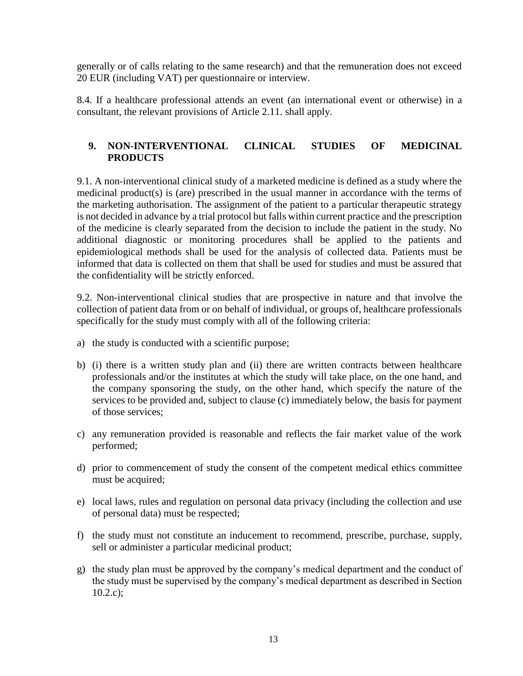generally or of calls relating to the same research) and that the remuneration does not exceed 20 EUR (including VAT) per questionnaire or interview.

8.4. If a healthcare professional attends an event (an international event or otherwise) in a consultant, the relevant provisions of Article 2.11. shall apply.

### **9. NON-INTERVENTIONAL CLINICAL STUDIES OF MEDICINAL PRODUCTS**

9.1. A non-interventional clinical study of a marketed medicine is defined as a study where the medicinal product(s) is (are) prescribed in the usual manner in accordance with the terms of the marketing authorisation. The assignment of the patient to a particular therapeutic strategy is not decided in advance by a trial protocol but falls within current practice and the prescription of the medicine is clearly separated from the decision to include the patient in the study. No additional diagnostic or monitoring procedures shall be applied to the patients and epidemiological methods shall be used for the analysis of collected data. Patients must be informed that data is collected on them that shall be used for studies and must be assured that the confidentiality will be strictly enforced.

9.2. Non-interventional clinical studies that are prospective in nature and that involve the collection of patient data from or on behalf of individual, or groups of, healthcare professionals specifically for the study must comply with all of the following criteria:

- a) the study is conducted with a scientific purpose;
- b) (i) there is a written study plan and (ii) there are written contracts between healthcare professionals and/or the institutes at which the study will take place, on the one hand, and the company sponsoring the study, on the other hand, which specify the nature of the services to be provided and, subject to clause (c) immediately below, the basis for payment of those services;
- c) any remuneration provided is reasonable and reflects the fair market value of the work performed;
- d) prior to commencement of study the consent of the competent medical ethics committee must be acquired;
- e) local laws, rules and regulation on personal data privacy (including the collection and use of personal data) must be respected;
- f) the study must not constitute an inducement to recommend, prescribe, purchase, supply, sell or administer a particular medicinal product;
- g) the study plan must be approved by the company's medical department and the conduct of the study must be supervised by the company's medical department as described in Section  $10.2.c$ );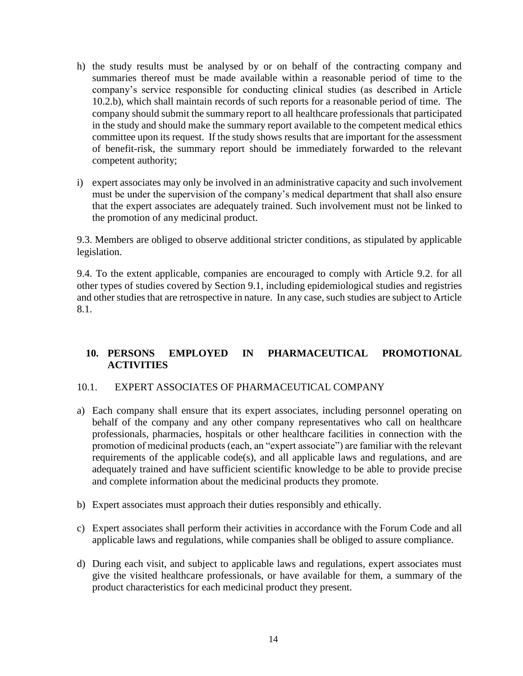- h) the study results must be analysed by or on behalf of the contracting company and summaries thereof must be made available within a reasonable period of time to the company's service responsible for conducting clinical studies (as described in Article 10.2.b), which shall maintain records of such reports for a reasonable period of time. The company should submit the summary report to all healthcare professionals that participated in the study and should make the summary report available to the competent medical ethics committee upon its request. If the study shows results that are important for the assessment of benefit-risk, the summary report should be immediately forwarded to the relevant competent authority;
- i) expert associates may only be involved in an administrative capacity and such involvement must be under the supervision of the company's medical department that shall also ensure that the expert associates are adequately trained. Such involvement must not be linked to the promotion of any medicinal product.

9.3. Members are obliged to observe additional stricter conditions, as stipulated by applicable legislation.

9.4. To the extent applicable, companies are encouraged to comply with Article 9.2. for all other types of studies covered by Section 9.1, including epidemiological studies and registries and other studies that are retrospective in nature. In any case, such studies are subject to Article 8.1.

# **10. PERSONS EMPLOYED IN PHARMACEUTICAL PROMOTIONAL ACTIVITIES**

### 10.1. EXPERT ASSOCIATES OF PHARMACEUTICAL COMPANY

- a) Each company shall ensure that its expert associates, including personnel operating on behalf of the company and any other company representatives who call on healthcare professionals, pharmacies, hospitals or other healthcare facilities in connection with the promotion of medicinal products (each, an "expert associate") are familiar with the relevant requirements of the applicable code(s), and all applicable laws and regulations, and are adequately trained and have sufficient scientific knowledge to be able to provide precise and complete information about the medicinal products they promote.
- b) Expert associates must approach their duties responsibly and ethically.
- c) Expert associates shall perform their activities in accordance with the Forum Code and all applicable laws and regulations, while companies shall be obliged to assure compliance.
- d) During each visit, and subject to applicable laws and regulations, expert associates must give the visited healthcare professionals, or have available for them, a summary of the product characteristics for each medicinal product they present.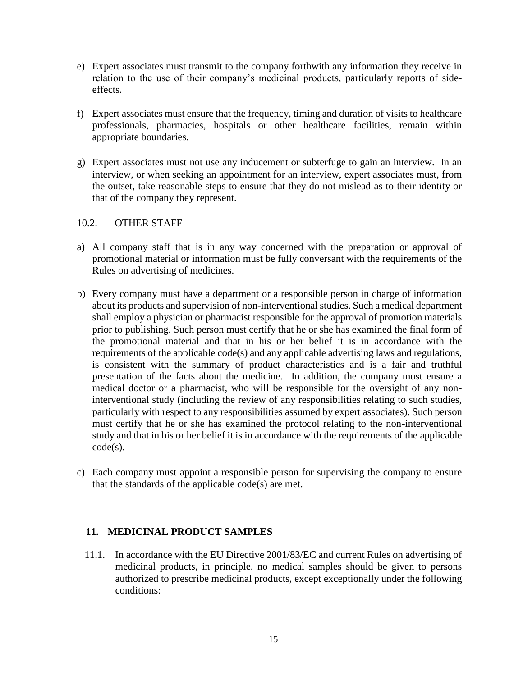- e) Expert associates must transmit to the company forthwith any information they receive in relation to the use of their company's medicinal products, particularly reports of sideeffects.
- f) Expert associates must ensure that the frequency, timing and duration of visits to healthcare professionals, pharmacies, hospitals or other healthcare facilities, remain within appropriate boundaries.
- g) Expert associates must not use any inducement or subterfuge to gain an interview. In an interview, or when seeking an appointment for an interview, expert associates must, from the outset, take reasonable steps to ensure that they do not mislead as to their identity or that of the company they represent.

### 10.2. OTHER STAFF

- a) All company staff that is in any way concerned with the preparation or approval of promotional material or information must be fully conversant with the requirements of the Rules on advertising of medicines.
- b) Every company must have a department or a responsible person in charge of information about its products and supervision of non-interventional studies. Such a medical department shall employ a physician or pharmacist responsible for the approval of promotion materials prior to publishing. Such person must certify that he or she has examined the final form of the promotional material and that in his or her belief it is in accordance with the requirements of the applicable code(s) and any applicable advertising laws and regulations, is consistent with the summary of product characteristics and is a fair and truthful presentation of the facts about the medicine. In addition, the company must ensure a medical doctor or a pharmacist, who will be responsible for the oversight of any noninterventional study (including the review of any responsibilities relating to such studies, particularly with respect to any responsibilities assumed by expert associates). Such person must certify that he or she has examined the protocol relating to the non-interventional study and that in his or her belief it is in accordance with the requirements of the applicable code(s).
- c) Each company must appoint a responsible person for supervising the company to ensure that the standards of the applicable code(s) are met.

### **11. MEDICINAL PRODUCT SAMPLES**

11.1. In accordance with the EU Directive 2001/83/EC and current Rules on advertising of medicinal products, in principle, no medical samples should be given to persons authorized to prescribe medicinal products, except exceptionally under the following conditions: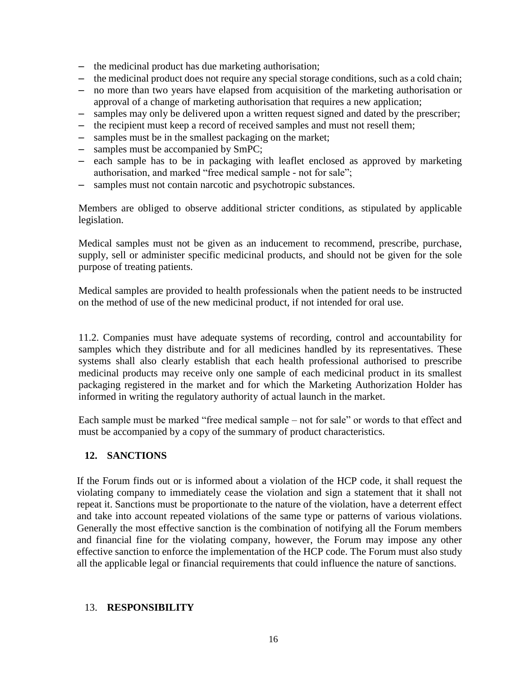- the medicinal product has due marketing authorisation;
- the medicinal product does not require any special storage conditions, such as a cold chain;
- no more than two years have elapsed from acquisition of the marketing authorisation or approval of a change of marketing authorisation that requires a new application;
- samples may only be delivered upon a written request signed and dated by the prescriber;
- the recipient must keep a record of received samples and must not resell them;
- samples must be in the smallest packaging on the market;
- samples must be accompanied by SmPC;
- each sample has to be in packaging with leaflet enclosed as approved by marketing authorisation, and marked "free medical sample - not for sale";
- samples must not contain narcotic and psychotropic substances.

Members are obliged to observe additional stricter conditions, as stipulated by applicable legislation.

Medical samples must not be given as an inducement to recommend, prescribe, purchase, supply, sell or administer specific medicinal products, and should not be given for the sole purpose of treating patients.

Medical samples are provided to health professionals when the patient needs to be instructed on the method of use of the new medicinal product, if not intended for oral use.

11.2. Companies must have adequate systems of recording, control and accountability for samples which they distribute and for all medicines handled by its representatives. These systems shall also clearly establish that each health professional authorised to prescribe medicinal products may receive only one sample of each medicinal product in its smallest packaging registered in the market and for which the Marketing Authorization Holder has informed in writing the regulatory authority of actual launch in the market.

Each sample must be marked "free medical sample – not for sale" or words to that effect and must be accompanied by a copy of the summary of product characteristics.

### **12. SANCTIONS**

If the Forum finds out or is informed about a violation of the HCP code, it shall request the violating company to immediately cease the violation and sign a statement that it shall not repeat it. Sanctions must be proportionate to the nature of the violation, have a deterrent effect and take into account repeated violations of the same type or patterns of various violations. Generally the most effective sanction is the combination of notifying all the Forum members and financial fine for the violating company, however, the Forum may impose any other effective sanction to enforce the implementation of the HCP code. The Forum must also study all the applicable legal or financial requirements that could influence the nature of sanctions.

#### 13. **RESPONSIBILITY**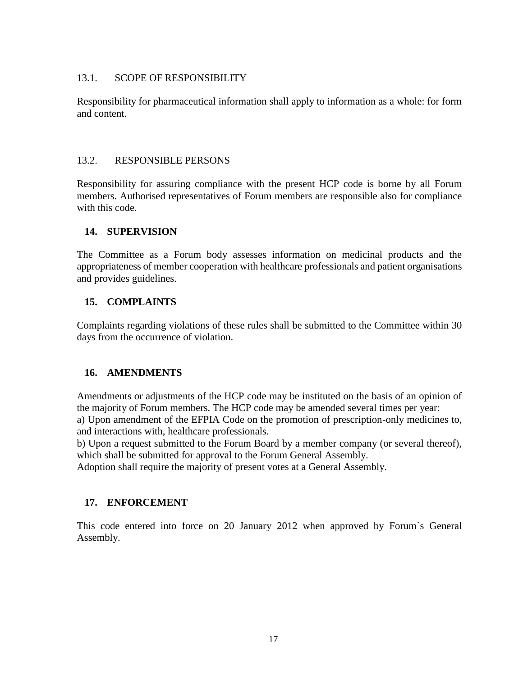#### 13.1. SCOPE OF RESPONSIBILITY

Responsibility for pharmaceutical information shall apply to information as a whole: for form and content.

### 13.2. RESPONSIBLE PERSONS

Responsibility for assuring compliance with the present HCP code is borne by all Forum members. Authorised representatives of Forum members are responsible also for compliance with this code.

### **14. SUPERVISION**

The Committee as a Forum body assesses information on medicinal products and the appropriateness of member cooperation with healthcare professionals and patient organisations and provides guidelines.

### **15. COMPLAINTS**

Complaints regarding violations of these rules shall be submitted to the Committee within 30 days from the occurrence of violation.

### **16. AMENDMENTS**

Amendments or adjustments of the HCP code may be instituted on the basis of an opinion of the majority of Forum members. The HCP code may be amended several times per year: a) Upon amendment of the EFPIA Code on the promotion of prescription-only medicines to, and interactions with, healthcare professionals.

b) Upon a request submitted to the Forum Board by a member company (or several thereof), which shall be submitted for approval to the Forum General Assembly.

Adoption shall require the majority of present votes at a General Assembly.

### **17. ENFORCEMENT**

This code entered into force on 20 January 2012 when approved by Forum`s General Assembly.